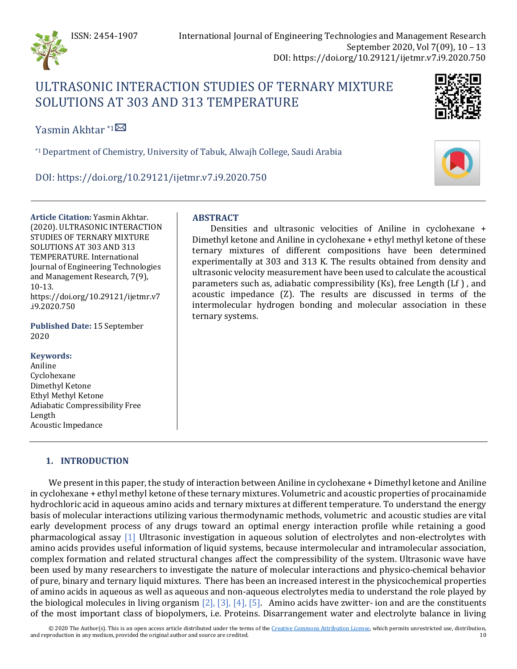

# ULTRASONIC INTERACTION STUDIES OF TERNARY MIXTURE SOLUTIONS AT 303 AND 313 TEMPERATURE



Yasmin Akhtar  $*1\overline{\boxtimes}$  $*1\overline{\boxtimes}$  $*1\overline{\boxtimes}$ 

\*1Department of Chemistry, University of Tabuk, Alwajh College, Saudi Arabia

DOI: https://doi.org/10.29121/ijetmr.v7.i9.2020.750

**Article Citation:** Yasmin Akhtar. (2020). ULTRASONIC INTERACTION STUDIES OF TERNARY MIXTURE SOLUTIONS AT 303 AND 313 TEMPERATURE. International Journal of Engineering Technologies and Management Research, 7(9), 10-13. https://doi.org/10.29121/ijetmr.v7 .i9.2020.750

**Published Date:** 15 September 2020

# **Keywords:**

Aniline Cyclohexane Dimethyl Ketone Ethyl Methyl Ketone Adiabatic Compressibility Free Length Acoustic Impedance

# **1. INTRODUCTION**

We present in this paper, the study of interaction between Aniline in cyclohexane + Dimethyl ketone and Aniline in cyclohexane + ethyl methyl ketone of these ternary mixtures. Volumetric and acoustic properties of procainamide hydrochloric acid in aqueous amino acids and ternary mixtures at different temperature. To understand the energy basis of molecular interactions utilizing various thermodynamic methods, volumetric and acoustic studies are vital early development process of any drugs toward an optimal energy interaction profile while retaining a good pharmacological assay [\[1\]](#page-3-0) Ultrasonic investigation in aqueous solution of electrolytes and non-electrolytes with amino acids provides useful information of liquid systems, because intermolecular and intramolecular association, complex formation and related structural changes affect the compressibility of the system. Ultrasonic wave have been used by many researchers to investigate the nature of molecular interactions and physico-chemical behavior of pure, binary and ternary liquid mixtures. There has been an increased interest in the physicochemical properties of amino acids in aqueous as well as aqueous and non-aqueous electrolytes media to understand the role played by the biological molecules in living organism  $[2]$ ,  $[3]$ ,  $[4]$ ,  $[5]$ . Amino acids have zwitter- ion and are the constituents of the most important class of biopolymers, i.e. Proteins. Disarrangement water and electrolyte balance in living

© 2020 The Author(s). This is an open access article distributed under the terms of th[e Creative Commons Attribution License,](https://creativecommons.org/licenses/by/4.0/) which permits unrestricted use, distribution, and reproduction in any medium, provided the original author and source are credited. 10

# **ABSTRACT**

Densities and ultrasonic velocities of Aniline in cyclohexane + Dimethyl ketone and Aniline in cyclohexane + ethyl methyl ketone of these ternary mixtures of different compositions have been determined experimentally at 303 and 313 K. The results obtained from density and ultrasonic velocity measurement have been used to calculate the acoustical parameters such as, adiabatic compressibility (Ks), free Length (Lf ) , and acoustic impedance (Z). The results are discussed in terms of the intermolecular hydrogen bonding and molecular association in these ternary systems.

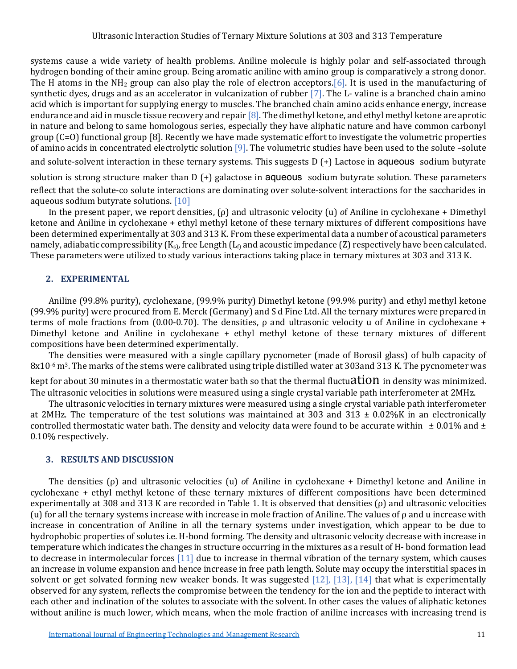systems cause a wide variety of health problems. Aniline molecule is highly polar and self-associated through hydrogen bonding of their amine group. Being aromatic aniline with amino group is comparatively a strong donor. The H atoms in the  $NH<sub>2</sub>$  group can also play the role of electron acceptor[s.\[6\].](#page-3-5) It is used in the manufacturing of synthetic dyes, drugs and as an accelerator in vulcanization of rubber [\[7\].](#page-3-6) The L- valine is a branched chain amino acid which is important for supplying energy to muscles. The branched chain amino acids enhance energy, increase endurance and aid in muscle tissue recovery and repai[r \[8\].](#page-3-7) The dimethyl ketone, and ethyl methyl ketone are aprotic in nature and belong to same homologous series, especially they have aliphatic nature and have common carbonyl group (C=O) functional group [8]. Recently we have made systematic effort to investigate the volumetric properties of amino acids in concentrated electrolytic solution [\[9\].](#page-3-8) The volumetric studies have been used to the solute –solute and solute-solvent interaction in these ternary systems. This suggests D (+) Lactose in aqueous sodium butyrate

solution is strong structure maker than D (+) galactose in aqueous sodium butyrate solution. These parameters reflect that the solute-co solute interactions are dominating over solute-solvent interactions for the saccharides in aqueous sodium butyrate solutions. [\[10\]](#page-3-9)

In the present paper, we report densities, (ρ) and ultrasonic velocity (u) *o*f Aniline in cyclohexane + Dimethyl ketone and Aniline in cyclohexane + ethyl methyl ketone of these ternary mixtures of different compositions have been determined experimentally at 303 and 313 K*.* From these experimental data a number of acoustical parameters namely, adiabatic compressibility  $(K_{\rm s})$ , free Length  $(L_{\rm fl})$  and acoustic impedance (Z) respectively have been calculated. These parameters were utilized to study various interactions taking place in ternary mixtures at 303 and 313 K.

## **2. EXPERIMENTAL**

Aniline (99.8% purity), cyclohexane, (99.9% purity) Dimethyl ketone (99.9% purity) and ethyl methyl ketone (99.9% purity) were procured from E. Merck (Germany) and S d Fine Ltd. All the ternary mixtures were prepared in terms of mole fractions from (0.00-0.70). The densities, ρ and ultrasonic velocity u of Aniline in cyclohexane + Dimethyl ketone and Aniline in cyclohexane + ethyl methyl ketone of these ternary mixtures of different compositions have been determined experimentally.

The densities were measured with a single capillary pycnometer (made of Borosil glass) of bulb capacity of 8x10<sup>-6</sup> m<sup>3</sup>. The marks of the stems were calibrated using triple distilled water at 303 and 313 K. The pycnometer was

kept for about 30 minutes in a thermostatic water bath so that the thermal fluctuation in density was minimized. The ultrasonic velocities in solutions were measured using a single crystal variable path interferometer at 2MHz.

The ultrasonic velocities in ternary mixtures were measured using a single crystal variable path interferometer at 2MHz. The temperature of the test solutions was maintained at 303 and 313  $\pm$  0.02%K in an electronically controlled thermostatic water bath. The density and velocity data were found to be accurate within  $\pm 0.01\%$  and  $\pm$ 0.10% respectively.

### **3. RESULTS AND DISCUSSION**

The densities (ρ) and ultrasonic velocities (u) *o*f Aniline in cyclohexane + Dimethyl ketone and Aniline in cyclohexane + ethyl methyl ketone of these ternary mixtures of different compositions have been determined experimentally at 308 and 313 K are recorded in Table 1. It is observed that densities (ρ) and ultrasonic velocities (u) for all the ternary systems increase with increase in mole fraction of Aniline. The values of  $\rho$  and u increase with increase in concentration of Aniline in all the ternary systems under investigation, which appear to be due to hydrophobic properties of solutes i.e. H-bond forming. The density and ultrasonic velocity decrease with increase in temperature which indicates the changes in structure occurring in the mixtures as a result of H- bond formation lead to decrease in intermolecular forces [\[11\]](#page-3-10) due to increase in thermal vibration of the ternary system, which causes an increase in volume expansion and hence increase in free path length. Solute may occupy the interstitial spaces in solvent or get solvated forming new weaker bonds. It was suggested [\[12\],](#page-3-11) [\[13\],](#page-3-12) [\[14\]](#page-3-13) that what is experimentally observed for any system, reflects the compromise between the tendency for the ion and the peptide to interact with each other and inclination of the solutes to associate with the solvent. In other cases the values of aliphatic ketones without aniline is much lower, which means, when the mole fraction of aniline increases with increasing trend is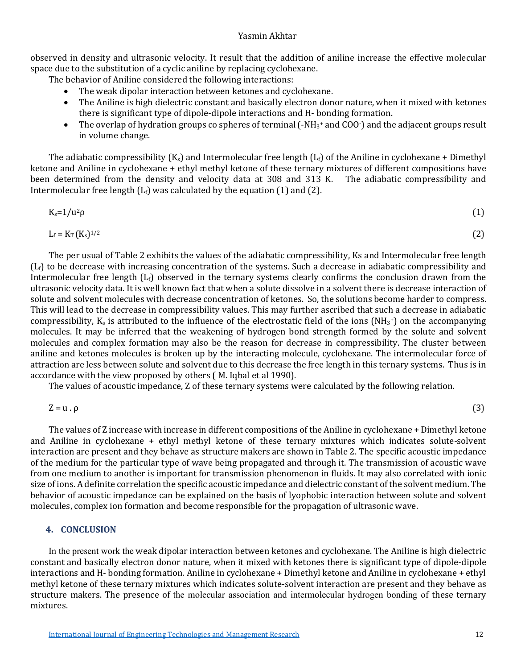#### Yasmin Akhtar

observed in density and ultrasonic velocity. It result that the addition of aniline increase the effective molecular space due to the substitution of a cyclic aniline by replacing cyclohexane.

The behavior of Aniline considered the following interactions:

- The weak dipolar interaction between ketones and cyclohexane.
- The Aniline is high dielectric constant and basically electron donor nature, when it mixed with ketones there is significant type of dipole-dipole interactions and H- bonding formation.
- The overlap of hydration groups co spheres of terminal (-NH<sub>3</sub>+ and COO-) and the adjacent groups result in volume change.

The adiabatic compressibility  $(K_s)$  and Intermolecular free length  $(L_f)$  of the Aniline in cyclohexane + Dimethyl ketone and Aniline in cyclohexane + ethyl methyl ketone of these ternary mixtures of different compositions have been determined from the density and velocity data at 308 and 313 K. The adiabatic compressibility and Intermolecular free length  $(L_f)$  was calculated by the equation (1) and (2).

$$
K_s = 1/u^2 \rho \tag{1}
$$

$$
L_f = K_T (K_s)^{1/2}
$$
 (2)

The per usual of Table 2 exhibits the values of the adiabatic compressibility, Ks and Intermolecular free length  $(L_f)$  to be decrease with increasing concentration of the systems. Such a decrease in adiabatic compressibility and Intermolecular free length  $(L_f)$  observed in the ternary systems clearly confirms the conclusion drawn from the ultrasonic velocity data. It is well known fact that when a solute dissolve in a solvent there is decrease interaction of solute and solvent molecules with decrease concentration of ketones. So, the solutions become harder to compress. This will lead to the decrease in compressibility values. This may further ascribed that such a decrease in adiabatic compressibility,  $K_s$  is attributed to the influence of the electrostatic field of the ions (NH<sub>3</sub>+) on the accompanying molecules. It may be inferred that the weakening of hydrogen bond strength formed by the solute and solvent molecules and complex formation may also be the reason for decrease in compressibility. The cluster between aniline and ketones molecules is broken up by the interacting molecule, cyclohexane. The intermolecular force of attraction are less between solute and solvent due to this decrease the free length in this ternary systems. Thus is in accordance with the view proposed by others ( M. Iqbal et al 1990).

The values of acoustic impedance, Z of these ternary systems were calculated by the following relation.

$$
Z = u \cdot \rho \tag{3}
$$

The values of Z increase with increase in different compositions of the Aniline in cyclohexane + Dimethyl ketone and Aniline in cyclohexane + ethyl methyl ketone of these ternary mixtures which indicates solute-solvent interaction are present and they behave as structure makers are shown in Table 2. The specific acoustic impedance of the medium for the particular type of wave being propagated and through it. The transmission of acoustic wave from one medium to another is important for transmission phenomenon in fluids. It may also correlated with ionic size of ions. A definite correlation the specific acoustic impedance and dielectric constant of the solvent medium. The behavior of acoustic impedance can be explained on the basis of lyophobic interaction between solute and solvent molecules, complex ion formation and become responsible for the propagation of ultrasonic wave.

# **4. CONCLUSION**

In the present work the weak dipolar interaction between ketones and cyclohexane. The Aniline is high dielectric constant and basically electron donor nature, when it mixed with ketones there is significant type of dipole-dipole interactions and H- bonding formation. Aniline in cyclohexane + Dimethyl ketone and Aniline in cyclohexane + ethyl methyl ketone of these ternary mixtures which indicates solute-solvent interaction are present and they behave as structure makers. The presence of the molecular association and intermolecular hydrogen bonding of these ternary mixtures.